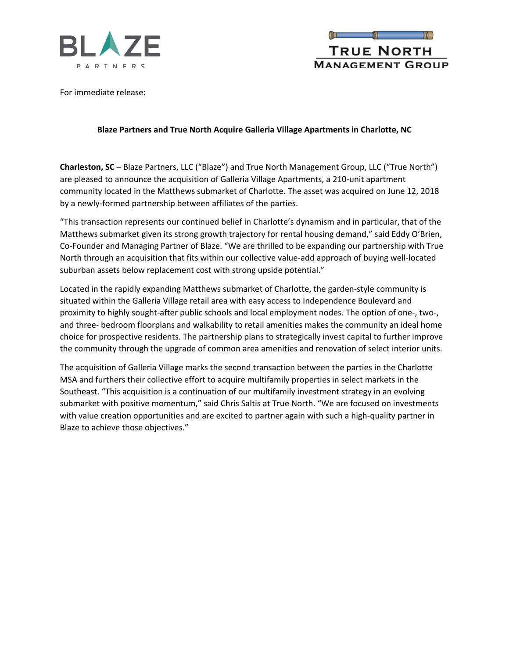



For immediate release:

## **Blaze Partners and True North Acquire Galleria Village Apartments in Charlotte, NC**

**Charleston, SC** – Blaze Partners, LLC ("Blaze") and True North Management Group, LLC ("True North") are pleased to announce the acquisition of Galleria Village Apartments, a 210-unit apartment community located in the Matthews submarket of Charlotte. The asset was acquired on June 12, 2018 by a newly-formed partnership between affiliates of the parties.

"This transaction represents our continued belief in Charlotte's dynamism and in particular, that of the Matthews submarket given its strong growth trajectory for rental housing demand," said Eddy O'Brien, Co-Founder and Managing Partner of Blaze. "We are thrilled to be expanding our partnership with True North through an acquisition that fits within our collective value-add approach of buying well-located suburban assets below replacement cost with strong upside potential."

Located in the rapidly expanding Matthews submarket of Charlotte, the garden-style community is situated within the Galleria Village retail area with easy access to Independence Boulevard and proximity to highly sought-after public schools and local employment nodes. The option of one-, two-, and three- bedroom floorplans and walkability to retail amenities makes the community an ideal home choice for prospective residents. The partnership plans to strategically invest capital to further improve the community through the upgrade of common area amenities and renovation of select interior units.

The acquisition of Galleria Village marks the second transaction between the parties in the Charlotte MSA and furthers their collective effort to acquire multifamily properties in select markets in the Southeast. "This acquisition is a continuation of our multifamily investment strategy in an evolving submarket with positive momentum," said Chris Saltis at True North. "We are focused on investments with value creation opportunities and are excited to partner again with such a high-quality partner in Blaze to achieve those objectives."